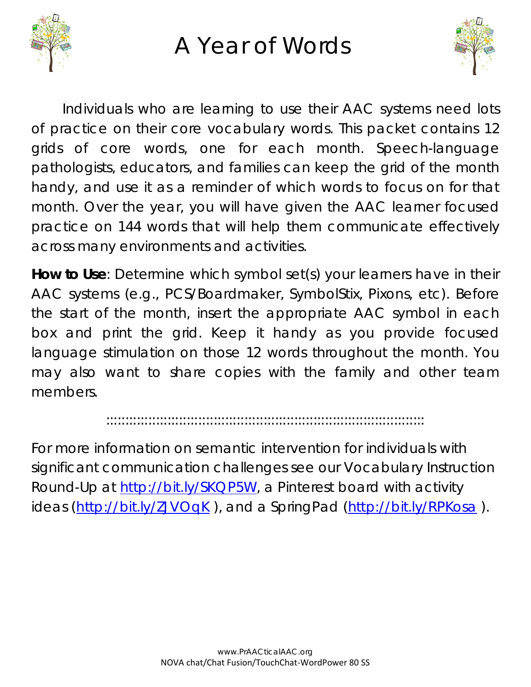

## A Year of Words



Individuals who are learning to use their AAC systems need lots of practice on their core vocabulary words. This packet contains 12 grids of core words, one for each month. Speech-language pathologists, educators, and families can keep the grid of the month handy, and use it as a reminder of which words to focus on for that month. Over the year, you will have given the AAC learner focused practice on 144 words that will help them communicate effectively across many environments and activities.

**How to Use**: Determine which symbol set(s) your learners have in their AAC systems (e.g., PCS/Boardmaker, SymbolStix, Pixons, etc). Before the start of the month, insert the appropriate AAC symbol in each box and print the grid. Keep it handy as you provide focused language stimulation on those 12 words throughout the month. You may also want to share copies with the family and other team members.

:::::::::::::::::::::::::::::::::::::::::::::::::::::::::::::::::::::::::::::::::::

For more information on semantic intervention for individuals with significant communication challenges see our Vocabulary Instruction Round-Up at [http://bit.ly/SKQP5W,](http://bit.ly/SKQP5W) a Pinterest board with activity ideas [\(http://bit.ly/ZJVOqK](http://bit.ly/ZJVOqK)), and a SpringPad [\(http://bit.ly/RPKosa](http://bit.ly/RPKosa)).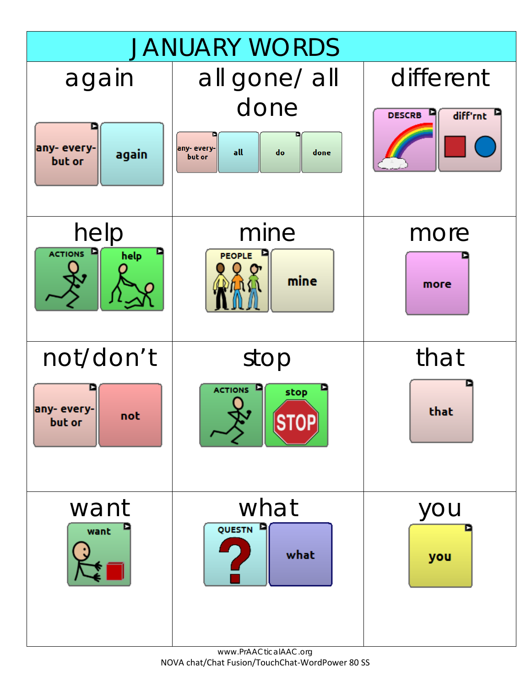

www.PrAACticalAAC.org NOVA chat/Chat Fusion/TouchChat-WordPower 80 SS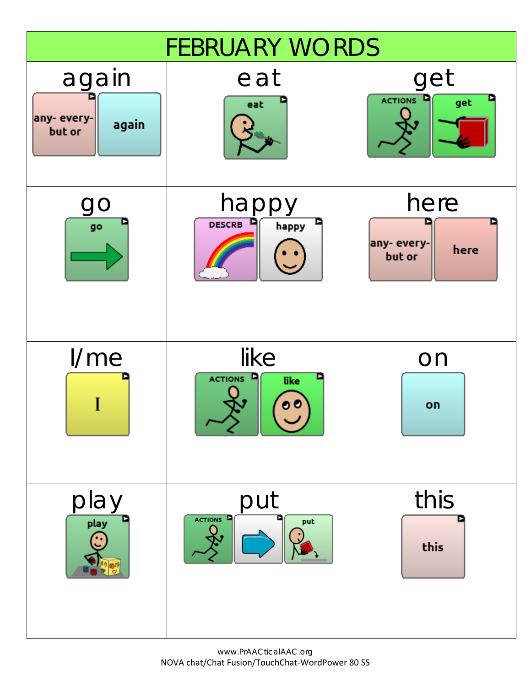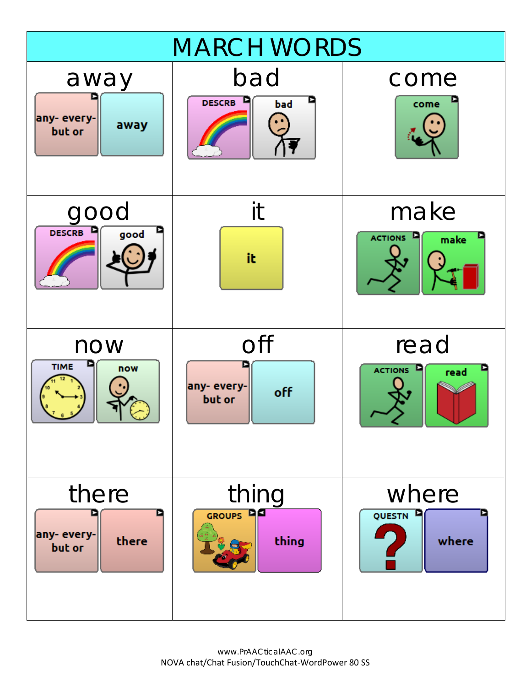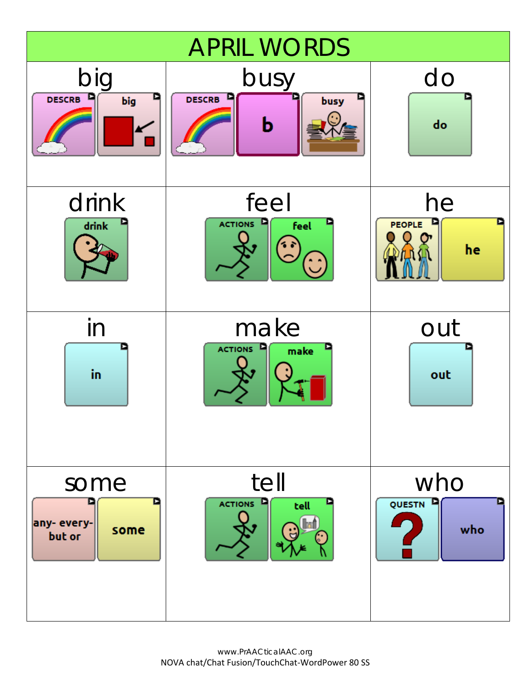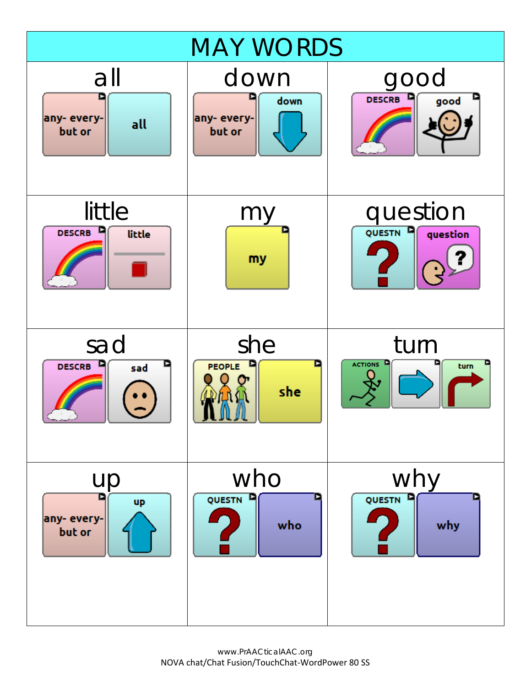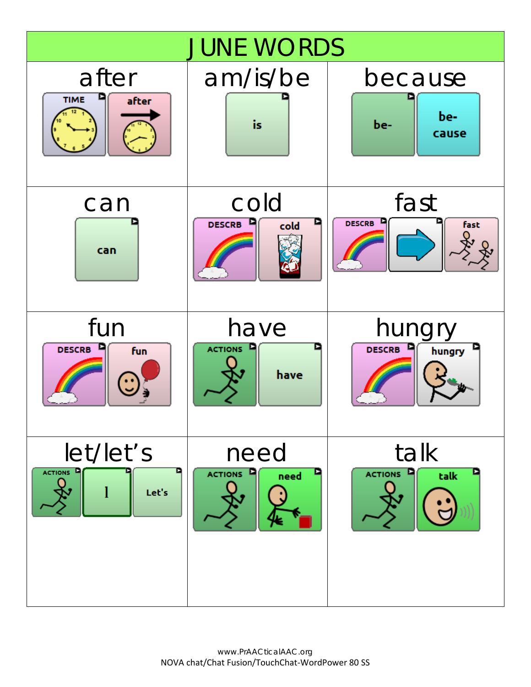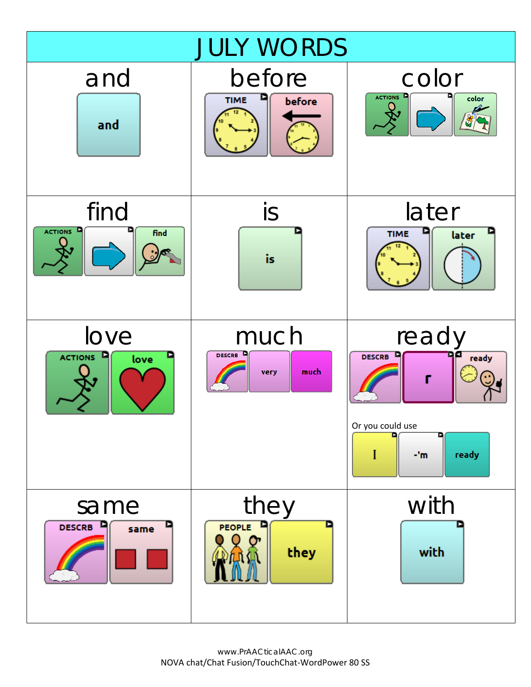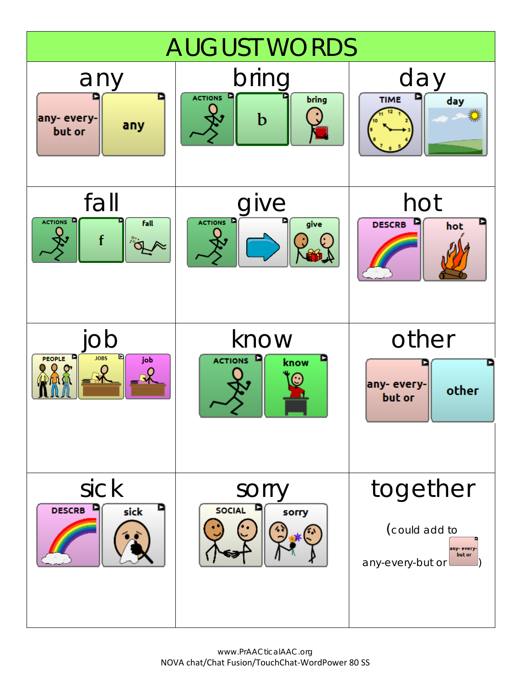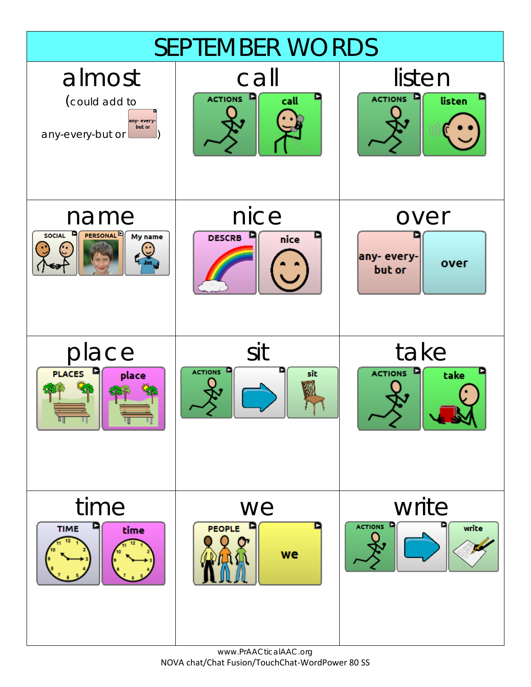

www.PrAACticalAAC.org NOVA chat/Chat Fusion/TouchChat-WordPower 80 SS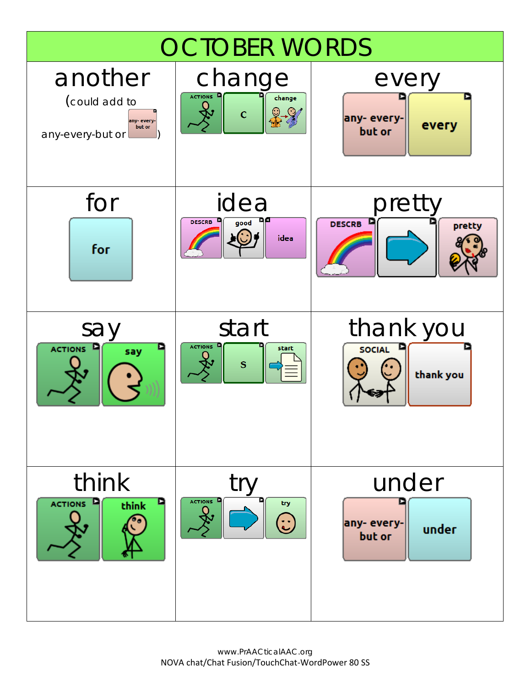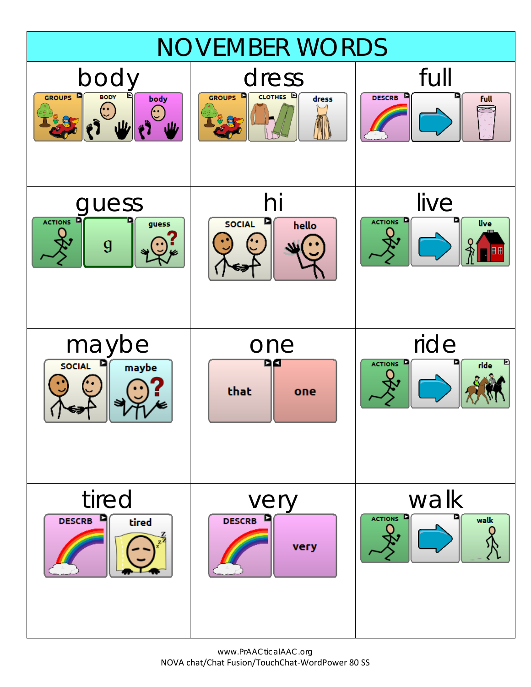